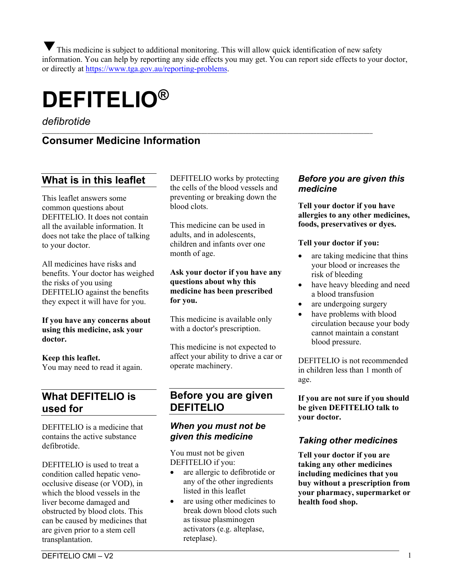This medicine is subject to additional monitoring. This will allow quick identification of new safety information. You can help by reporting any side effects you may get. You can report side effects to your doctor, or directly at [https://www.tga.gov.au/reporting-problems.](https://www.tga.gov.au/reporting-problems)

# **DEFITELIO®**

*defibrotide*

#### \_\_\_\_\_\_\_\_\_\_\_\_\_\_\_\_\_\_\_\_\_\_\_\_\_\_\_\_\_\_\_\_\_\_\_\_\_\_\_\_\_\_\_\_\_\_\_\_\_\_\_\_\_\_\_\_\_\_\_\_\_\_\_\_\_\_\_\_\_\_\_\_\_\_\_\_\_\_\_\_\_\_\_\_\_\_\_\_\_\_\_\_\_\_\_\_\_\_\_\_\_\_\_\_\_\_\_\_\_\_\_\_ **Consumer Medicine Information**

## **What is in this leaflet**

This leaflet answers some common questions about DEFITELIO. It does not contain all the available information. It does not take the place of talking to your doctor.

All medicines have risks and benefits. Your doctor has weighed the risks of you using DEFITELIO against the benefits they expect it will have for you.

#### **If you have any concerns about using this medicine, ask your doctor.**

**Keep this leaflet.** You may need to read it again.

## **What DEFITELIO is used for**

DEFITELIO is a medicine that contains the active substance defibrotide.

DEFITELIO is used to treat a condition called hepatic venoocclusive disease (or VOD), in which the blood vessels in the liver become damaged and obstructed by blood clots. This can be caused by medicines that are given prior to a stem cell transplantation.

DEFITELIO works by protecting the cells of the blood vessels and preventing or breaking down the blood clots.

This medicine can be used in adults, and in adolescents, children and infants over one month of age.

#### **Ask your doctor if you have any questions about why this medicine has been prescribed for you.**

This medicine is available only with a doctor's prescription.

This medicine is not expected to affect your ability to drive a car or operate machinery.

## **Before you are given DEFITELIO**

## *When you must not be given this medicine*

You must not be given DEFITELIO if you:

- are allergic to defibrotide or any of the other ingredients listed in this leaflet
- are using other medicines to break down blood clots such as tissue plasminogen activators (e.g. alteplase, reteplase).

## *Before you are given this medicine*

**Tell your doctor if you have allergies to any other medicines, foods, preservatives or dyes.** 

#### **Tell your doctor if you:**

- are taking medicine that thins your blood or increases the risk of bleeding
- have heavy bleeding and need a blood transfusion
- are undergoing surgery
- have problems with blood circulation because your body cannot maintain a constant blood pressure.

DEFITELIO is not recommended in children less than 1 month of age.

**If you are not sure if you should be given DEFITELIO talk to your doctor.** 

## *Taking other medicines*

**Tell your doctor if you are taking any other medicines including medicines that you buy without a prescription from your pharmacy, supermarket or health food shop.**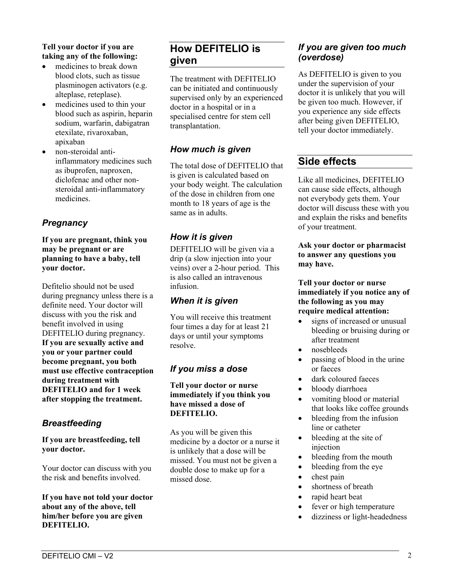#### **Tell your doctor if you are taking any of the following:**

- medicines to break down blood clots, such as tissue plasminogen activators (e.g. alteplase, reteplase).
- medicines used to thin your blood such as aspirin, heparin sodium, warfarin, dabigatran etexilate, rivaroxaban, apixaban
- non-steroidal antiinflammatory medicines such as ibuprofen, naproxen, diclofenac and other nonsteroidal anti-inflammatory medicines.

## *Pregnancy*

**If you are pregnant, think you may be pregnant or are planning to have a baby, tell your doctor.**

Defitelio should not be used during pregnancy unless there is a definite need. Your doctor will discuss with you the risk and benefit involved in using DEFITELIO during pregnancy. **If you are sexually active and you or your partner could become pregnant, you both must use effective contraception during treatment with DEFITELIO and for 1 week after stopping the treatment.**

## *Breastfeeding*

**If you are breastfeeding, tell your doctor.**

Your doctor can discuss with you the risk and benefits involved.

**If you have not told your doctor about any of the above, tell him/her before you are given DEFITELIO.**

# **How DEFITELIO is given**

The treatment with DEFITELIO can be initiated and continuously supervised only by an experienced doctor in a hospital or in a specialised centre for stem cell transplantation.

## *How much is given*

The total dose of DEFITELIO that is given is calculated based on your body weight. The calculation of the dose in children from one month to 18 years of age is the same as in adults.

## *How it is given*

DEFITELIO will be given via a drip (a slow injection into your veins) over a 2-hour period. This is also called an intravenous infusion.

## *When it is given*

You will receive this treatment four times a day for at least 21 days or until your symptoms resolve.

# *If you miss a dose*

**Tell your doctor or nurse immediately if you think you have missed a dose of DEFITELIO.**

As you will be given this medicine by a doctor or a nurse it is unlikely that a dose will be missed. You must not be given a double dose to make up for a missed dose.

## *If you are given too much (overdose)*

As DEFITELIO is given to you under the supervision of your doctor it is unlikely that you will be given too much. However, if you experience any side effects after being given DEFITELIO, tell your doctor immediately.

# **Side effects**

Like all medicines, DEFITELIO can cause side effects, although not everybody gets them. Your doctor will discuss these with you and explain the risks and benefits of your treatment.

#### **Ask your doctor or pharmacist to answer any questions you may have.**

#### **Tell your doctor or nurse immediately if you notice any of the following as you may require medical attention:**

- signs of increased or unusual bleeding or bruising during or after treatment
- nosebleeds
- passing of blood in the urine or faeces
- dark coloured faeces
- bloody diarrhoea
- vomiting blood or material that looks like coffee grounds
- bleeding from the infusion line or catheter
- bleeding at the site of injection
- bleeding from the mouth
- bleeding from the eye
- chest pain
- shortness of breath
- rapid heart beat
- fever or high temperature
- dizziness or light-headedness